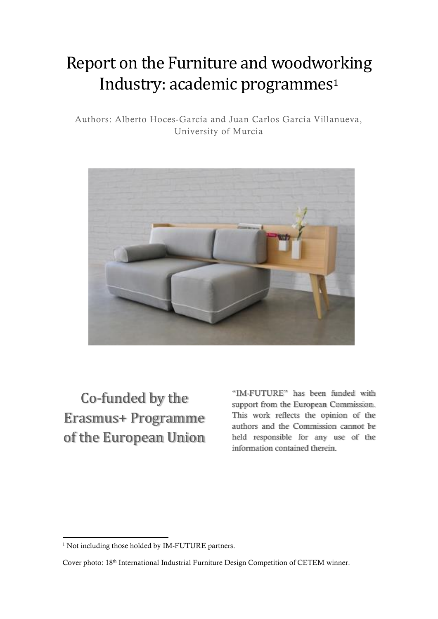# Report on the Furniture and woodworking Industry: academic programmes<sup>1</sup>

Authors: Alberto Hoces-García and Juan Carlos García Villanueva, University of Murcia



Co-funded by the Erasmus+ Programme of the European Union "IM-FUTURE" has been funded with support from the European Commission. This work reflects the opinion of the authors and the Commission cannot be held responsible for any use of the information contained therein.

**.** 

<sup>&</sup>lt;sup>1</sup> Not including those holded by IM-FUTURE partners.

Cover photo: 18<sup>th</sup> International Industrial Furniture Design Competition of CETEM winner.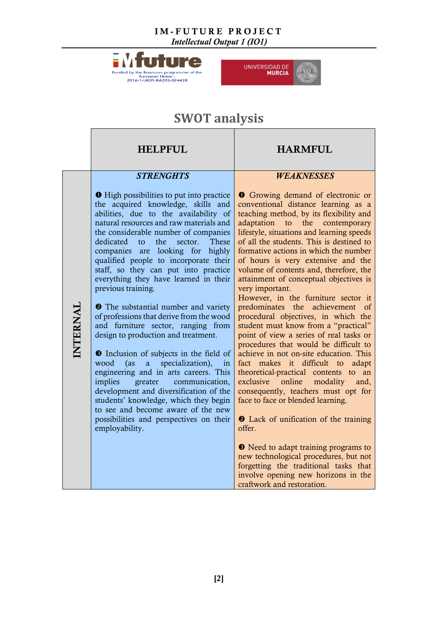*Intellectual Output 1 (IO1)*





## **SWOT analysis**

<span id="page-1-0"></span>

|          | <b>HELPFUL</b>                                                                                                                                                                                                                                                                                                                                                                                                                                                                                                                                                                                                                                                                                                                                                                                                                                                                                                                                                                                                   | <b>HARMFUL</b>                                                                                                                                                                                                                                                                                                                                                                                                                                                                                                                                                                                                                                                                                                                                                                                                                                                                                                                                                                                                                                                                                                                            |
|----------|------------------------------------------------------------------------------------------------------------------------------------------------------------------------------------------------------------------------------------------------------------------------------------------------------------------------------------------------------------------------------------------------------------------------------------------------------------------------------------------------------------------------------------------------------------------------------------------------------------------------------------------------------------------------------------------------------------------------------------------------------------------------------------------------------------------------------------------------------------------------------------------------------------------------------------------------------------------------------------------------------------------|-------------------------------------------------------------------------------------------------------------------------------------------------------------------------------------------------------------------------------------------------------------------------------------------------------------------------------------------------------------------------------------------------------------------------------------------------------------------------------------------------------------------------------------------------------------------------------------------------------------------------------------------------------------------------------------------------------------------------------------------------------------------------------------------------------------------------------------------------------------------------------------------------------------------------------------------------------------------------------------------------------------------------------------------------------------------------------------------------------------------------------------------|
|          | <b>STRENGHTS</b>                                                                                                                                                                                                                                                                                                                                                                                                                                                                                                                                                                                                                                                                                                                                                                                                                                                                                                                                                                                                 | <b>WEAKNESSES</b>                                                                                                                                                                                                                                                                                                                                                                                                                                                                                                                                                                                                                                                                                                                                                                                                                                                                                                                                                                                                                                                                                                                         |
| INTERNAL | <b>O</b> High possibilities to put into practice<br>the acquired knowledge, skills and<br>abilities, due to the availability of<br>natural resources and raw materials and<br>the considerable number of companies<br>the<br>These<br>dedicated<br>sector.<br>to<br>companies are looking for highly<br>qualified people to incorporate their<br>staff, so they can put into practice<br>everything they have learned in their<br>previous training.<br><b>2</b> The substantial number and variety<br>of professions that derive from the wood<br>and furniture sector, ranging from<br>design to production and treatment.<br><b>O</b> Inclusion of subjects in the field of<br>specialization),<br>wood<br>(as<br>$\overline{a}$<br>in<br>engineering and in arts careers. This<br>communication,<br>implies<br>greater<br>development and diversification of the<br>students' knowledge, which they begin<br>to see and become aware of the new<br>possibilities and perspectives on their<br>employability. | <b>O</b> Growing demand of electronic or<br>conventional distance learning as a<br>teaching method, by its flexibility and<br>adaptation to the contemporary<br>lifestyle, situations and learning speeds<br>of all the students. This is destined to<br>formative actions in which the number<br>of hours is very extensive and the<br>volume of contents and, therefore, the<br>attainment of conceptual objectives is<br>very important.<br>However, in the furniture sector it<br>predominates the achievement<br>of<br>procedural objectives, in which the<br>student must know from a "practical"<br>point of view a series of real tasks or<br>procedures that would be difficult to<br>achieve in not on-site education. This<br>fact makes it difficult to<br>adapt<br>theoretical-practical contents to<br>an<br>online<br>exclusive<br>modality<br>and,<br>consequently, teachers must opt for<br>face to face or blended learning.<br><b>2</b> Lack of unification of the training<br>offer.<br><b>•</b> Need to adapt training programs to<br>new technological procedures, but not<br>forgetting the traditional tasks that |
|          |                                                                                                                                                                                                                                                                                                                                                                                                                                                                                                                                                                                                                                                                                                                                                                                                                                                                                                                                                                                                                  | involve opening new horizons in the<br>craftwork and restoration.                                                                                                                                                                                                                                                                                                                                                                                                                                                                                                                                                                                                                                                                                                                                                                                                                                                                                                                                                                                                                                                                         |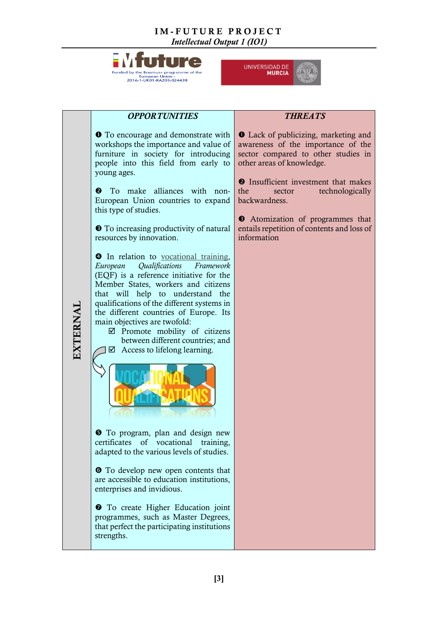



|          | <b>OPPORTUNITIES</b>                                                                                                                                                                                                                                                                                                                                                                                                                                              | <b>THREATS</b>                                                                                                                                                                                                                                                                                                                                             |
|----------|-------------------------------------------------------------------------------------------------------------------------------------------------------------------------------------------------------------------------------------------------------------------------------------------------------------------------------------------------------------------------------------------------------------------------------------------------------------------|------------------------------------------------------------------------------------------------------------------------------------------------------------------------------------------------------------------------------------------------------------------------------------------------------------------------------------------------------------|
| EXTERNAL | <b>O</b> To encourage and demonstrate with<br>workshops the importance and value of<br>furniture in society for introducing<br>people into this field from early to<br>young ages.<br>alliances with non-<br>To make<br>❷<br>European Union countries to expand<br>this type of studies.<br>• To increasing productivity of natural<br>resources by innovation.                                                                                                   | <b>O</b> Lack of publicizing, marketing and<br>awareness of the importance of the<br>sector compared to other studies in<br>other areas of knowledge.<br><b>2</b> Insufficient investment that makes<br>the<br>technologically<br>sector<br>backwardness.<br>• Atomization of programmes that<br>entails repetition of contents and loss of<br>information |
|          | <b>•</b> In relation to vocational training,<br>European<br>Qualifications<br>Framework<br>(EQF) is a reference initiative for the<br>Member States, workers and citizens<br>that will help to understand the<br>qualifications of the different systems in<br>the different countries of Europe. Its<br>main objectives are twofold:<br>$\boxtimes$ Promote mobility of citizens<br>between different countries; and<br>$\boxtimes$ Access to lifelong learning. |                                                                                                                                                                                                                                                                                                                                                            |
|          | <b>O</b> To program, plan and design new<br>certificates<br>of<br>vocational<br>training,<br>adapted to the various levels of studies.<br><b>To</b> develop new open contents that<br>are accessible to education institutions,<br>enterprises and invidious.                                                                                                                                                                                                     |                                                                                                                                                                                                                                                                                                                                                            |
|          | To create Higher Education joint<br>♥<br>programmes, such as Master Degrees,<br>that perfect the participating institutions<br>strengths.                                                                                                                                                                                                                                                                                                                         |                                                                                                                                                                                                                                                                                                                                                            |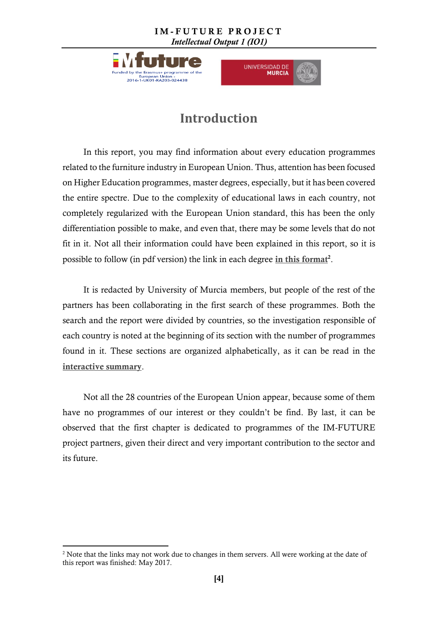



### **Introduction**

In this report, you may find information about every education programmes related to the furniture industry in European Union. Thus, attention has been focused on Higher Education programmes, master degrees, especially, but it has been covered the entire spectre. Due to the complexity of educational laws in each country, not completely regularized with the European Union standard, this has been the only differentiation possible to make, and even that, there may be some levels that do not fit in it. Not all their information could have been explained in this report, so it is possible to follow (in pdf version) the link in each degree in [this format](#page-1-0)<sup>2</sup>.

It is redacted by University of Murcia members, but people of the rest of the partners has been collaborating in the first search of these programmes. Both the search and the report were divided by countries, so the investigation responsible of each country is noted at the beginning of its section with the number of programmes found in it. These sections are organized alphabetically, as it can be read in the [interactive summary](#page-4-0).

Not all the 28 countries of the European Union appear, because some of them have no programmes of our interest or they couldn't be find. By last, it can be observed that the first chapter is dedicated to programmes of the IM-FUTURE project partners, given their direct and very important contribution to the sector and its future.

**.** 

<sup>&</sup>lt;sup>2</sup> Note that the links may not work due to changes in them servers. All were working at the date of this report was finished: May 2017.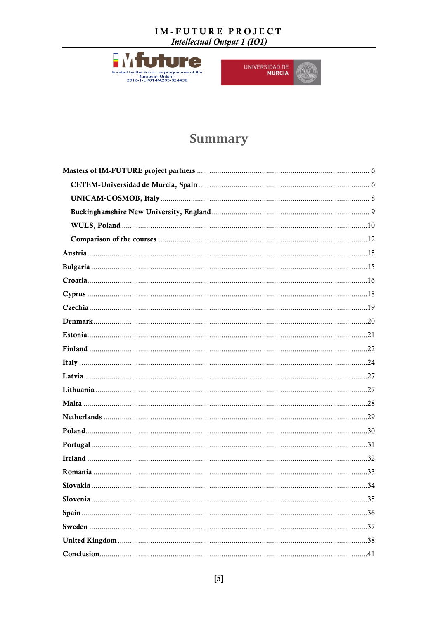Intellectual Output 1 (IO1)



 $\sim$   $\sim$ 

UNIVERSIDAD DE

## **Summary**

<span id="page-4-0"></span>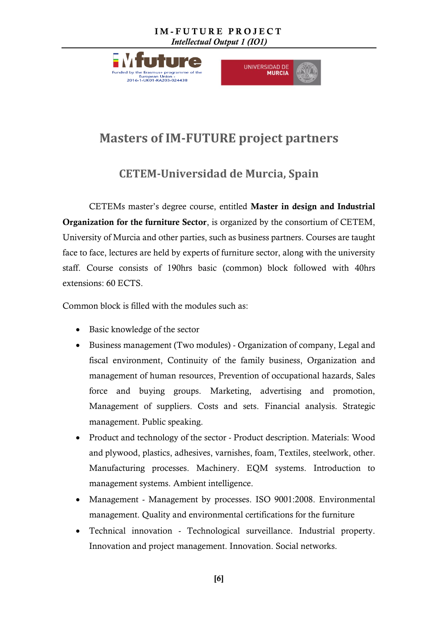



## <span id="page-5-0"></span>**Masters of IM-FUTURE project partners**

### **CETEM-Universidad de Murcia, Spain**

<span id="page-5-1"></span>CETEMs master's degree course, entitled Master in design and Industrial Organization for the furniture Sector, is organized by the consortium of CETEM, University of Murcia and other parties, such as business partners. Courses are taught face to face, lectures are held by experts of furniture sector, along with the university staff. Course consists of 190hrs basic (common) block followed with 40hrs extensions: 60 ECTS.

Common block is filled with the modules such as:

- Basic knowledge of the sector
- Business management (Two modules) Organization of company, Legal and fiscal environment, Continuity of the family business, Organization and management of human resources, Prevention of occupational hazards, Sales force and buying groups. Marketing, advertising and promotion, Management of suppliers. Costs and sets. Financial analysis. Strategic management. Public speaking.
- Product and technology of the sector Product description. Materials: Wood and plywood, plastics, adhesives, varnishes, foam, Textiles, steelwork, other. Manufacturing processes. Machinery. EQM systems. Introduction to management systems. Ambient intelligence.
- Management Management by processes. ISO 9001:2008. Environmental management. Quality and environmental certifications for the furniture
- Technical innovation Technological surveillance. Industrial property. Innovation and project management. Innovation. Social networks.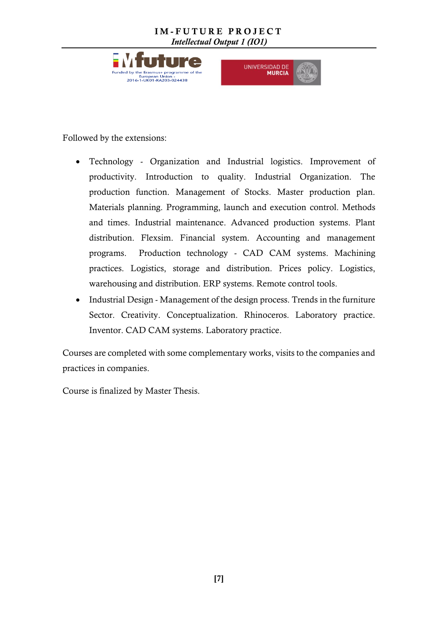



Followed by the extensions:

- Technology Organization and Industrial logistics. Improvement of productivity. Introduction to quality. Industrial Organization. The production function. Management of Stocks. Master production plan. Materials planning. Programming, launch and execution control. Methods and times. Industrial maintenance. Advanced production systems. Plant distribution. Flexsim. Financial system. Accounting and management programs. Production technology - CAD CAM systems. Machining practices. Logistics, storage and distribution. Prices policy. Logistics, warehousing and distribution. ERP systems. Remote control tools.
- Industrial Design Management of the design process. Trends in the furniture Sector. Creativity. Conceptualization. Rhinoceros. Laboratory practice. Inventor. CAD CAM systems. Laboratory practice.

Courses are completed with some complementary works, visits to the companies and practices in companies.

Course is finalized by Master Thesis.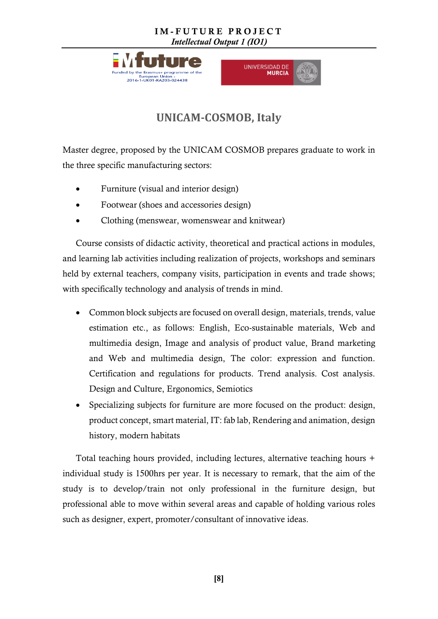





### **UNICAM-COSMOB, Italy**

<span id="page-7-0"></span>Master degree, proposed by the UNICAM COSMOB prepares graduate to work in the three specific manufacturing sectors:

- Furniture (visual and interior design)
- Footwear (shoes and accessories design)
- Clothing (menswear, womenswear and knitwear)

Course consists of didactic activity, theoretical and practical actions in modules, and learning lab activities including realization of projects, workshops and seminars held by external teachers, company visits, participation in events and trade shows; with specifically technology and analysis of trends in mind.

- Common block subjects are focused on overall design, materials, trends, value estimation etc., as follows: English, Eco-sustainable materials, Web and multimedia design, Image and analysis of product value, Brand marketing and Web and multimedia design, The color: expression and function. Certification and regulations for products. Trend analysis. Cost analysis. Design and Culture, Ergonomics, Semiotics
- Specializing subjects for furniture are more focused on the product: design, product concept, smart material, IT: fab lab, Rendering and animation, design history, modern habitats

Total teaching hours provided, including lectures, alternative teaching hours + individual study is 1500hrs per year. It is necessary to remark, that the aim of the study is to develop/train not only professional in the furniture design, but professional able to move within several areas and capable of holding various roles such as designer, expert, promoter/consultant of innovative ideas.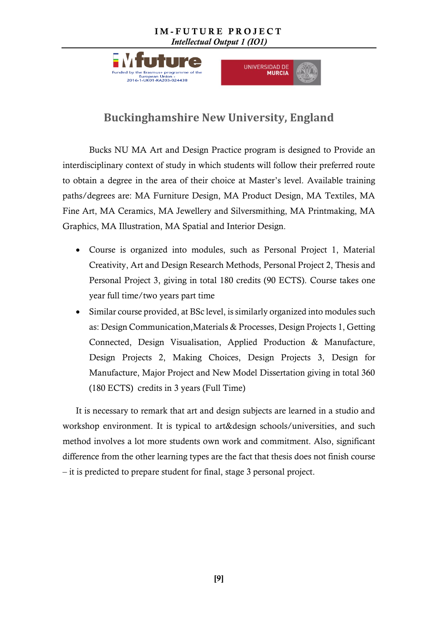



### **Buckinghamshire New University, England**

<span id="page-8-0"></span>Bucks NU MA Art and Design Practice program is designed to Provide an interdisciplinary context of study in which students will follow their preferred route to obtain a degree in the area of their choice at Master's level. Available training paths/degrees are: MA Furniture Design, MA Product Design, MA Textiles, MA Fine Art, MA Ceramics, MA Jewellery and Silversmithing, MA Printmaking, MA Graphics, MA Illustration, MA Spatial and Interior Design.

- Course is organized into modules, such as Personal Project 1, Material Creativity, Art and Design Research Methods, Personal Project 2, Thesis and Personal Project 3, giving in total 180 credits (90 ECTS). Course takes one year full time/two years part time
- Similar course provided, at BSc level, is similarly organized into modules such as: Design Communication,Materials & Processes, Design Projects 1, Getting Connected, Design Visualisation, Applied Production & Manufacture, Design Projects 2, Making Choices, Design Projects 3, Design for Manufacture, Major Project and New Model Dissertation giving in total 360 (180 ECTS) credits in 3 years (Full Time)

It is necessary to remark that art and design subjects are learned in a studio and workshop environment. It is typical to art&design schools/universities, and such method involves a lot more students own work and commitment. Also, significant difference from the other learning types are the fact that thesis does not finish course – it is predicted to prepare student for final, stage 3 personal project.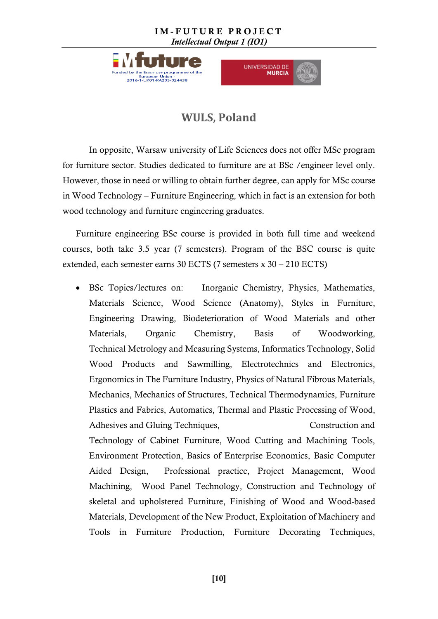



### **WULS, Poland**

<span id="page-9-0"></span>In opposite, Warsaw university of Life Sciences does not offer MSc program for furniture sector. Studies dedicated to furniture are at BSc /engineer level only. However, those in need or willing to obtain further degree, can apply for MSc course in Wood Technology – Furniture Engineering, which in fact is an extension for both wood technology and furniture engineering graduates.

Furniture engineering BSc course is provided in both full time and weekend courses, both take 3.5 year (7 semesters). Program of the BSC course is quite extended, each semester earns 30 ECTS (7 semesters x 30 – 210 ECTS)

 BSc Topics/lectures on: Inorganic Chemistry, Physics, Mathematics, Materials Science, Wood Science (Anatomy), Styles in Furniture, Engineering Drawing, Biodeterioration of Wood Materials and other Materials, Organic Chemistry, Basis of Woodworking, Technical Metrology and Measuring Systems, Informatics Technology, Solid Wood Products and Sawmilling, Electrotechnics and Electronics, Ergonomics in The Furniture Industry, Physics of Natural Fibrous Materials, Mechanics, Mechanics of Structures, Technical Thermodynamics, Furniture Plastics and Fabrics, Automatics, Thermal and Plastic Processing of Wood, Adhesives and Gluing Techniques, Construction and Technology of Cabinet Furniture, Wood Cutting and Machining Tools, Environment Protection, Basics of Enterprise Economics, Basic Computer Aided Design, Professional practice, Project Management, Wood Machining, Wood Panel Technology, Construction and Technology of skeletal and upholstered Furniture, Finishing of Wood and Wood-based Materials, Development of the New Product, Exploitation of Machinery and Tools in Furniture Production, Furniture Decorating Techniques,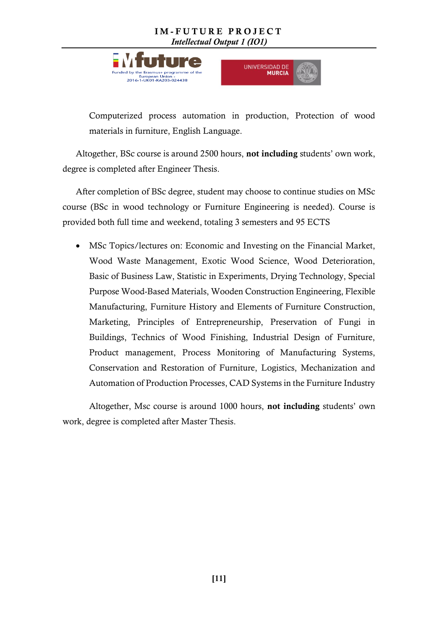



Computerized process automation in production, Protection of wood materials in furniture, English Language.

Altogether, BSc course is around 2500 hours, not including students' own work, degree is completed after Engineer Thesis.

After completion of BSc degree, student may choose to continue studies on MSc course (BSc in wood technology or Furniture Engineering is needed). Course is provided both full time and weekend, totaling 3 semesters and 95 ECTS

 MSc Topics/lectures on: Economic and Investing on the Financial Market, Wood Waste Management, Exotic Wood Science, Wood Deterioration, Basic of Business Law, Statistic in Experiments, Drying Technology, Special Purpose Wood-Based Materials, Wooden Construction Engineering, Flexible Manufacturing, Furniture History and Elements of Furniture Construction, Marketing, Principles of Entrepreneurship, Preservation of Fungi in Buildings, Technics of Wood Finishing, Industrial Design of Furniture, Product management, Process Monitoring of Manufacturing Systems, Conservation and Restoration of Furniture, Logistics, Mechanization and Automation of Production Processes, CAD Systems in the Furniture Industry

Altogether, Msc course is around 1000 hours, not including students' own work, degree is completed after Master Thesis.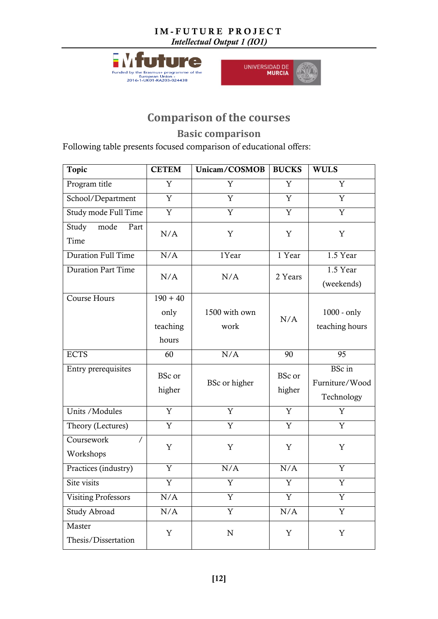





### **Comparison of the courses**

**Basic comparison**

<span id="page-11-0"></span>Following table presents focused comparison of educational offers:

| <b>Topic</b>                        | <b>CETEM</b>                            | Unicam/COSMOB           | <b>BUCKS</b>            | <b>WULS</b>                            |
|-------------------------------------|-----------------------------------------|-------------------------|-------------------------|----------------------------------------|
| Program title                       | $\overline{\mathrm{Y}}$                 | $\overline{\mathrm{Y}}$ | $\overline{\text{Y}}$   | Y                                      |
| School/Department                   | $\overline{Y}$                          | $\overline{\text{Y}}$   | $\overline{Y}$          | $\overline{\text{Y}}$                  |
| Study mode Full Time                | $\overline{\text{Y}}$                   | Y                       | Y                       | $\overline{\text{Y}}$                  |
| Study<br>mode<br>Part<br>Time       | N/A                                     | $\mathbf Y$             | Y                       | $\mathbf Y$                            |
| Duration Full Time                  | N/A                                     | 1Year                   | 1 Year                  | 1.5 Year                               |
| <b>Duration Part Time</b>           | N/A                                     | N/A                     | 2 Years                 | 1.5 Year<br>(weekends)                 |
| <b>Course Hours</b>                 | $190 + 40$<br>only<br>teaching<br>hours | 1500 with own<br>work   | N/A                     | $1000 - only$<br>teaching hours        |
| <b>ECTS</b>                         | 60                                      | N/A                     | 90                      | 95                                     |
| Entry prerequisites                 | <b>BSc</b> or<br>higher                 | BSc or higher           | <b>BSc</b> or<br>higher | BSc in<br>Furniture/Wood<br>Technology |
| Units / Modules                     | Y                                       | Y                       | Y                       | Y                                      |
| Theory (Lectures)                   | Y                                       | Y                       | Y                       | Y                                      |
| Coursework<br>$\prime$<br>Workshops | Y                                       | Y                       | Y                       | Y                                      |
| Practices (industry)                | $\overline{Y}$                          | N/A                     | N/A                     | Y                                      |
| Site visits                         | $\mathbf Y$                             | Y                       | Y                       | Y                                      |
| <b>Visiting Professors</b>          | $\rm N/A$                               | Y                       | Y                       | Y                                      |
| Study Abroad                        | $\rm N/A$                               | $\overline{\text{Y}}$   | $\rm N/A$               | Y                                      |
| Master<br>Thesis/Dissertation       | $\mathbf Y$                             | ${\bf N}$               | $\mathbf Y$             | $\mathbf Y$                            |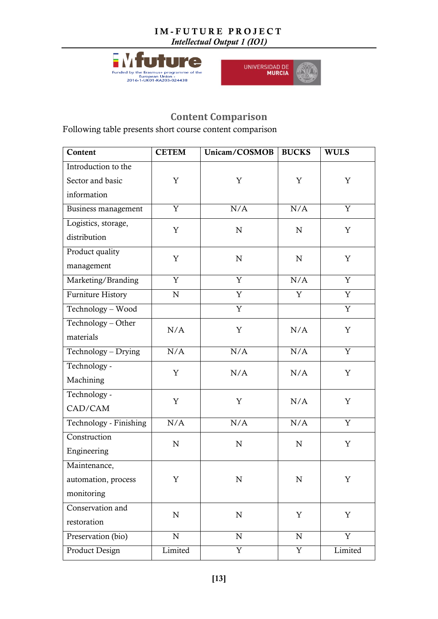





### **Content Comparison**

Following table presents short course content comparison

| Content                  | <b>CETEM</b>   | Unicam/COSMOB         | <b>BUCKS</b>   | <b>WULS</b>    |
|--------------------------|----------------|-----------------------|----------------|----------------|
| Introduction to the      |                |                       |                |                |
| Sector and basic         | Y              | Y                     | Y              | Y              |
| information              |                |                       |                |                |
| Business management      | $\overline{Y}$ | N/A                   | N/A            | $\overline{Y}$ |
| Logistics, storage,      | Y              | $\mathbf N$           | ${\bf N}$      | Y              |
| distribution             |                |                       |                |                |
| Product quality          | Y              |                       |                |                |
| management               |                | $\mathbf N$           | ${\bf N}$      | Y              |
| Marketing/Branding       | $\overline{Y}$ | $\overline{Y}$        | N/A            | $\overline{Y}$ |
| <b>Furniture History</b> | ${\bf N}$      | $\overline{\text{Y}}$ | $\overline{Y}$ | $\overline{Y}$ |
| Technology - Wood        |                | $\overline{Y}$        |                | $\overline{Y}$ |
| Technology - Other       | N/A            | Y                     | N/A            | Y              |
| materials                |                |                       |                |                |
| Technology - Drying      | N/A            | N/A                   | N/A            | Y              |
| Technology -             | Y              | N/A                   | N/A            | Y              |
| Machining                |                |                       |                |                |
| Technology -             | $\mathbf Y$    | $\mathbf Y$           | N/A            | $\mathbf Y$    |
| CAD/CAM                  |                |                       |                |                |
| Technology - Finishing   | N/A            | N/A                   | N/A            | $\mathbf Y$    |
| Construction             | $\mathbf N$    | ${\bf N}$             | ${\bf N}$      | Y              |
| Engineering              |                |                       |                |                |
| Maintenance,             |                |                       |                |                |
| automation, process      | Y              | N                     | N              | Y              |
| monitoring               |                |                       |                |                |
| Conservation and         | ${\bf N}$      | ${\bf N}$             | Y              | $\mathbf Y$    |
| restoration              |                |                       |                |                |
| Preservation (bio)       | $\mathbf N$    | ${\bf N}$             | ${\bf N}$      | $\mathbf Y$    |
| <b>Product Design</b>    | Limited        | Y                     | $\mathbf Y$    | Limited        |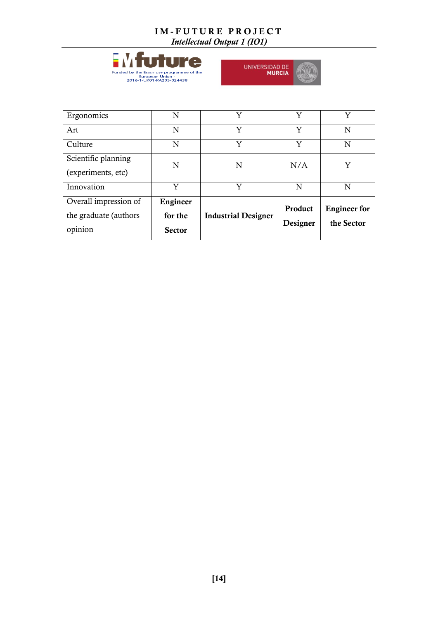





<span id="page-13-0"></span>

| Overall impression of<br>the graduate (authors)<br>opinion | Engineer<br>for the<br><b>Sector</b> | <b>Industrial Designer</b> | Product<br>Designer | <b>Engineer</b> for<br>the Sector |
|------------------------------------------------------------|--------------------------------------|----------------------------|---------------------|-----------------------------------|
| Innovation                                                 | Y                                    | Y                          | N                   | N                                 |
| Scientific planning<br>(experiments, etc)                  | N                                    | N                          | N/A                 | Y                                 |
| Culture                                                    | N                                    | Y                          | Y                   | N                                 |
| Art                                                        | N                                    | Y                          | Y                   | N                                 |
| Ergonomics                                                 | N                                    | Y                          | Y                   | Y                                 |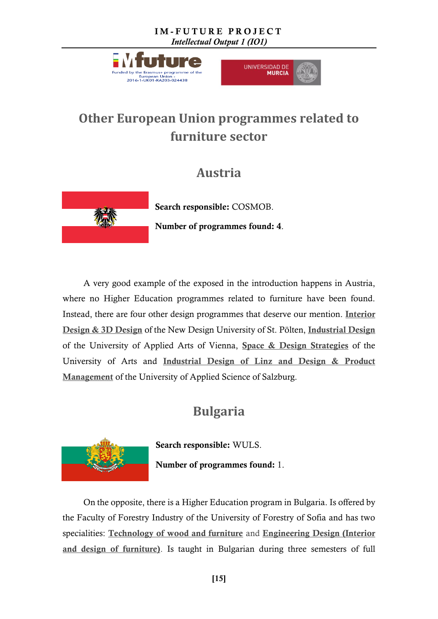



## **Other European Union programmes related to furniture sector**

## **Austria**



Search responsible: COSMOB. Number of programmes found: 4.

A very good example of the exposed in the introduction happens in Austria, where no Higher Education programmes related to furniture have been found. Instead, there are four other design programmes that deserve our mention. [Interior](http://www.ndu.ac.at/en/study/bachelors-courses/interior-design-3d-design.html)  [Design & 3D Design](http://www.ndu.ac.at/en/study/bachelors-courses/interior-design-3d-design.html) of the New Design University of St. Pölten, [Industrial Design](http://www.dieangewandte.at/jart/prj3/angewandte-2016/main.jart?rel=en&content-id=1454062383446&reserve-mode=active) of the University of Applied Arts of Vienna, Space & Design [Strategies](http://www.ufg.ac.at/Bachelorstudium.1654+M52087573ab0.0.html) of the University of Arts and Industrial Design of Linz [and Design & Product](http://www.fh-salzburg.ac.at/en/disciplines/design-media-arts/master-design-product-management/degree-programme/)  [Management](http://www.fh-salzburg.ac.at/en/disciplines/design-media-arts/master-design-product-management/degree-programme/) of the University of Applied Science of Salzburg.

## **Bulgaria**

<span id="page-14-0"></span>

Search responsible: WULS. Number of programmes found: 1.

On the opposite, there is a Higher Education program in Bulgaria. Is offered by the Faculty of Forestry Industry of the University of Forestry of Sofia and has two specialities: [Technology of wood and furniture](https://ltu.bg/en/faculty-of-forest-industry) and Engineering Design (Interior [and design of furniture\)](https://ltu.bg/en/faculty-of-forest-industry). Is taught in Bulgarian during three semesters of full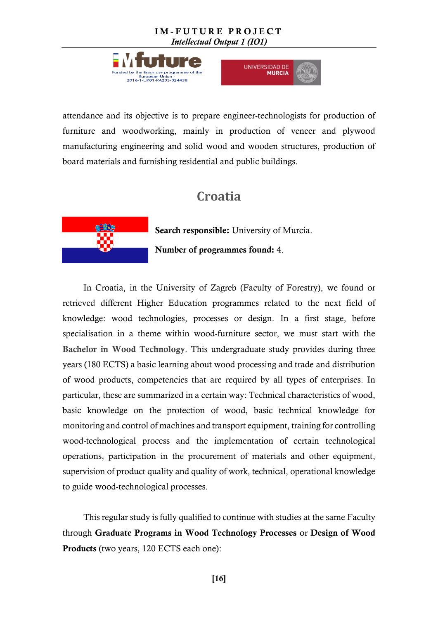



attendance and its objective is to prepare engineer-technologists for production of furniture and woodworking, mainly in production of veneer and plywood manufacturing engineering and solid wood and wooden structures, production of board materials and furnishing residential and public buildings.

## **Croatia**

<span id="page-15-0"></span>

Search responsible: University of Murcia.

Number of programmes found: 4.

In Croatia, in the University of Zagreb (Faculty of Forestry), we found or retrieved different Higher Education programmes related to the next field of knowledge: wood technologies, processes or design. In a first stage, before specialisation in a theme within wood-furniture sector, we must start with the Bachelor in [Wood Technology](http://www.unizg.hr/fileadmin/rektorat/Istrazivanja/Poslijediplomski/doktorski_i_specijalisticki_studiji/Vodic_za_specijalisticke_studije__na_SuZ_2016_WEB.pdf). This undergraduate study provides during three years (180 ECTS) a basic learning about wood processing and trade and distribution of wood products, competencies that are required by all types of enterprises. In particular, these are summarized in a certain way: Technical characteristics of wood, basic knowledge on the protection of wood, basic technical knowledge for monitoring and control of machines and transport equipment, training for controlling wood-technological process and the implementation of certain technological operations, participation in the procurement of materials and other equipment, supervision of product quality and quality of work, technical, operational knowledge to guide wood-technological processes.

This regular study is fully qualified to continue with studies at the same Faculty through Graduate Programs in Wood Technology Processes or Design of Wood Products (two years, 120 ECTS each one):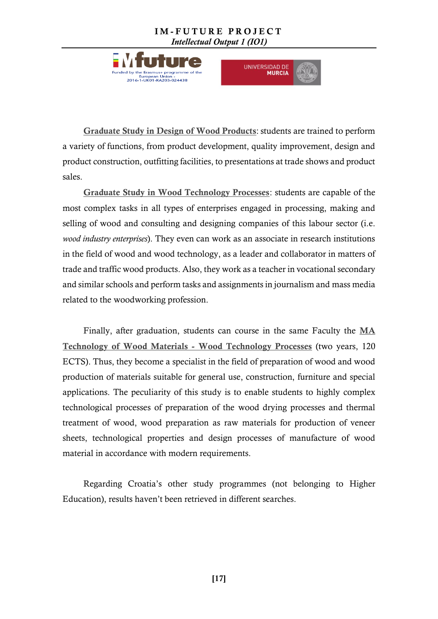



Graduate Study in Design [of Wood Products](http://www.unizg.hr/fileadmin/rektorat/Istrazivanja/Poslijediplomski/doktorski_i_specijalisticki_studiji/Vodic_za_specijalisticke_studije__na_SuZ_2016_WEB.pdf): students are trained to perform a variety of functions, from product development, quality improvement, design and product construction, outfitting facilities, to presentations at trade shows and product sales.

[Graduate Study in Wood Technology Processes](http://www.unizg.hr/fileadmin/rektorat/Istrazivanja/Poslijediplomski/doktorski_i_specijalisticki_studiji/Vodic_za_specijalisticke_studije__na_SuZ_2016_WEB.pdf): students are capable of the most complex tasks in all types of enterprises engaged in processing, making and selling of wood and consulting and designing companies of this labour sector (i.e. *wood industry enterprises*). They even can work as an associate in research institutions in the field of wood and wood technology, as a leader and collaborator in matters of trade and traffic wood products. Also, they work as a teacher in vocational secondary and similar schools and perform tasks and assignments in journalism and mass media related to the woodworking profession.

Finally, after graduation, students can course in the same Faculty the [MA](http://www.sumfak.unizg.hr/StudijPojedinacno.aspx?mhID=2&mvID=61)  [Technology of Wood Materials -](http://www.sumfak.unizg.hr/StudijPojedinacno.aspx?mhID=2&mvID=61) Wood Technology Processes (two years, 120 ECTS). Thus, they become a specialist in the field of preparation of wood and wood production of materials suitable for general use, construction, furniture and special applications. The peculiarity of this study is to enable students to highly complex technological processes of preparation of the wood drying processes and thermal treatment of wood, wood preparation as raw materials for production of veneer sheets, technological properties and design processes of manufacture of wood material in accordance with modern requirements.

Regarding Croatia's other study programmes (not belonging to Higher Education), results haven't been retrieved in different searches.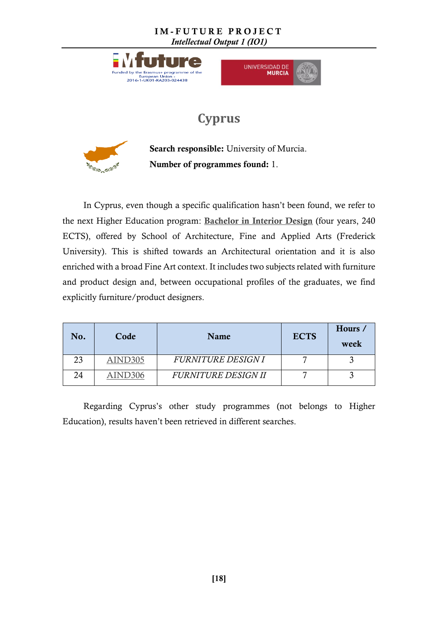



## **Cyprus**

<span id="page-17-0"></span>

Search responsible: University of Murcia. Number of programmes found: 1.

In Cyprus, even though a specific qualification hasn't been found, we refer to the next Higher Education program: [Bachelor in Interior Design](http://www.frederick.ac.cy/school-of-architecture-fine-and-applied-arts-undergraduate-programs/ba-in-interior-design) (four years, 240 ECTS), offered by School of Architecture, Fine and Applied Arts (Frederick University). This is shifted towards an Architectural orientation and it is also enriched with a broad Fine Art context. It includes two subjects related with furniture and product design and, between occupational profiles of the graduates, we find explicitly furniture/product designers.

| No. | Code    | Name                       | <b>ECTS</b> | Hours /<br>week |
|-----|---------|----------------------------|-------------|-----------------|
| 23  | AIND305 | <b>FURNITURE DESIGNI</b>   |             |                 |
| 24  | AIND306 | <b>FURNITURE DESIGN II</b> |             |                 |

Regarding Cyprus's other study programmes (not belongs to Higher Education), results haven't been retrieved in different searches.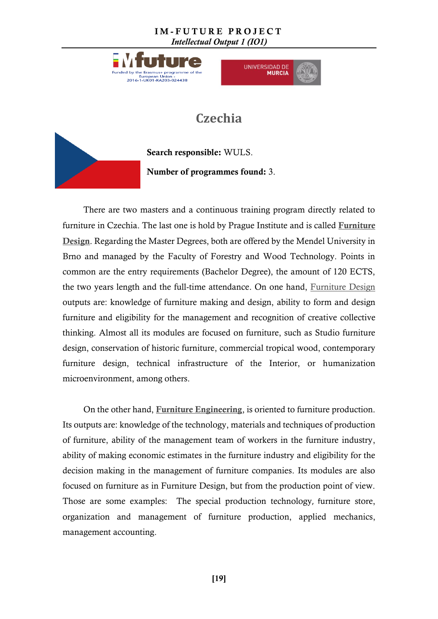



## **Czechia**

<span id="page-18-0"></span>

Search responsible: WULS. Number of programmes found: 3.

There are two masters and a continuous training program directly related to furniture in Czechia. The last one is hold by Prague Institute and is called [Furniture](http://pragueinstitute.ncsu.edu/2014/12/09/furniture-design-course/)  [Design](http://pragueinstitute.ncsu.edu/2014/12/09/furniture-design-course/). Regarding the Master Degrees, both are offered by the Mendel University in Brno and managed by the Faculty of Forestry and Wood Technology. Points in common are the entry requirements (Bachelor Degree), the amount of 120 ECTS, the two years length and the full-time attendance. On one hand, [Furniture Design](http://ipm.ldf.mendelu.cz/en/studium/magisterske#PD) outputs are: knowledge of furniture making and design, ability to form and design furniture and eligibility for the management and recognition of creative collective thinking. Almost all its modules are focused on furniture, such as Studio furniture design, conservation of historic furniture, commercial tropical wood, contemporary furniture design, technical infrastructure of the Interior, or humanization microenvironment, among others.

On the other hand, [Furniture Engineering](http://mendelu.cz/), is oriented to furniture production. Its outputs are: knowledge of the technology, materials and techniques of production of furniture, ability of the management team of workers in the furniture industry, ability of making economic estimates in the furniture industry and eligibility for the decision making in the management of furniture companies. Its modules are also focused on furniture as in Furniture Design, but from the production point of view. Those are some examples: The special production technology, furniture store, organization and management of furniture production, applied mechanics, management accounting.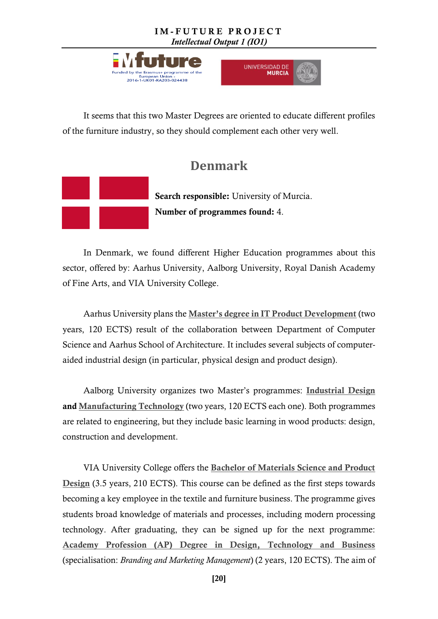



It seems that this two Master Degrees are oriented to educate different profiles of the furniture industry, so they should complement each other very well.

### **Denmark**

<span id="page-19-0"></span>

Search responsible: University of Murcia. Number of programmes found: 4.

In Denmark, we found different Higher Education programmes about this sector, offered by: Aarhus University, Aalborg University, Royal Danish Academy of Fine Arts, and VIA University College.

Aarhus University plans the [Master's degree in IT Product Development](http://kandidat.au.dk/en/itproductdevelopment/) (two years, 120 ECTS) result of the collaboration between Department of Computer Science and Aarhus School of Architecture. It includes several subjects of computeraided industrial design (in particular, physical design and product design).

Aalborg University organizes two Master's programmes: [Industrial Design](http://www.aau.dk/uddannelser/kandidat/industrial-design-civil) and [Manufacturing Technology](http://www.en.aau.dk/education/master/manufacturing-technology) (two years, 120 ECTS each one). Both programmes are related to engineering, but they include basic learning in wood products: design, construction and development.

VIA University College offers the [Bachelor of Materials Science and Product](http://en.via.dk/programmes/design/materials-science-and-product-design-bachelor)  [Design](http://en.via.dk/programmes/design/materials-science-and-product-design-bachelor) (3.5 years, 210 ECTS). This course can be defined as the first steps towards becoming a key employee in the textile and furniture business. The programme gives students broad knowledge of materials and processes, including modern processing technology. After graduating, they can be signed up for the next programme: [Academy Profession \(AP\) Degree in Design, Technology and Business](http://en.via.dk/programmes/design/design-technology-and-business-ap-degree/branding-and-marketing-management) (specialisation: *Branding and Marketing Management*) (2 years, 120 ECTS). The aim of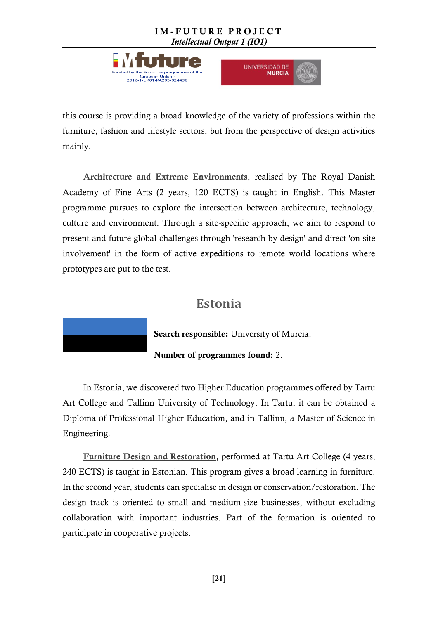



this course is providing a broad knowledge of the variety of professions within the furniture, fashion and lifestyle sectors, but from the perspective of design activities mainly.

[Architecture and Extreme Environments](https://kadk.dk/en/programme/architecture-and-extreme-environments), realised by The Royal Danish Academy of Fine Arts (2 years, 120 ECTS) is taught in English. This Master programme pursues to explore the intersection between architecture, technology, culture and environment. Through a site-specific approach, we aim to respond to present and future global challenges through 'research by design' and direct 'on-site involvement' in the form of active expeditions to remote world locations where prototypes are put to the test.

### **Estonia**

Search responsible: University of Murcia.

Number of programmes found: 2.

<span id="page-20-0"></span>In Estonia, we discovered two Higher Education programmes offered by Tartu Art College and Tallinn University of Technology. In Tartu, it can be obtained a Diploma of Professional Higher Education, and in Tallinn, a Master of Science in Engineering.

[Furniture Design and Restoration](https://art.ois.ee/en/curriculum/view?curriculum_id=10&year=2016), performed at Tartu Art College (4 years, 240 ECTS) is taught in Estonian. This program gives a broad learning in furniture. In the second year, students can specialise in design or conservation/restoration. The design track is oriented to small and medium-size businesses, without excluding collaboration with important industries. Part of the formation is oriented to participate in cooperative projects.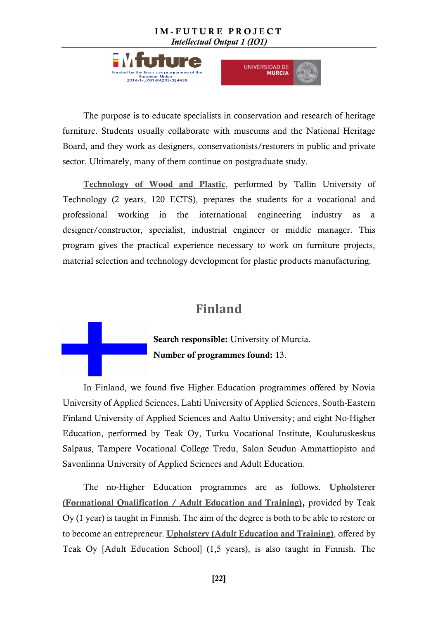



The purpose is to educate specialists in conservation and research of heritage furniture. Students usually collaborate with museums and the National Heritage Board, and they work as designers, conservationists/restorers in public and private sector. Ultimately, many of them continue on postgraduate study.

[Technology of Wood and Plastic](https://www.ttu.ee/studying/masters/masters_programmes/technology-of-wood-and-plastic/), performed by Tallin University of Technology (2 years, 120 ECTS), prepares the students for a vocational and professional working in the international engineering industry as a designer/constructor, specialist, industrial engineer or middle manager. This program gives the practical experience necessary to work on furniture projects, material selection and technology development for plastic products manufacturing.

### <span id="page-21-0"></span>**Finland**

Search responsible: University of Murcia. Number of programmes found: 13.

In Finland, we found five Higher Education programmes offered by Novia University of Applied Sciences, Lahti University of Applied Sciences, South-Eastern Finland University of Applied Sciences and Aalto University; and eight No-Higher Education, performed by Teak Oy, Turku Vocational Institute, Koulutuskeskus Salpaus, Tampere Vocational College Tredu, Salon Seudun Ammattiopisto and Savonlinna University of Applied Sciences and Adult Education.

The no-Higher Education programmes are as follows. [Upholsterer](https://studyinfo.fi/app/#!/ammatillinenaikuiskoulutus/1.2.246.562.17.67404723867)  [\(Formational Qualification / Adult Education and Training\),](https://studyinfo.fi/app/#!/ammatillinenaikuiskoulutus/1.2.246.562.17.67404723867) provided by Teak Oy (1 year) is taught in Finnish. The aim of the degree is both to be able to restore or to become an entrepreneur. [Upholstery \(Adult Education and Training\)](https://studyinfo.fi/app/#!/ammatillinenaikuiskoulutus/1.2.246.562.17.631704445810), offered by Teak Oy [Adult Education School] (1,5 years), is also taught in Finnish. The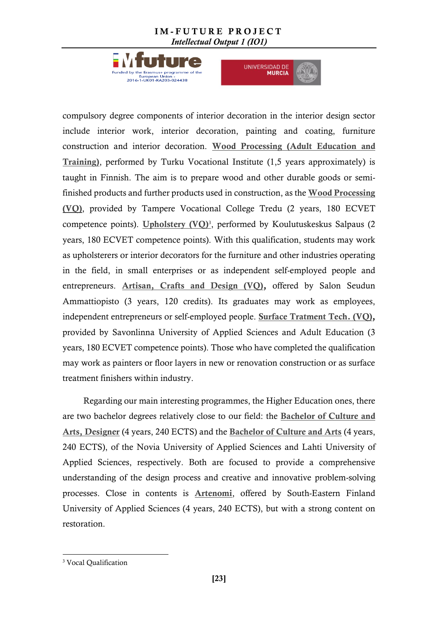



compulsory degree components of interior decoration in the interior design sector include interior work, interior decoration, painting and coating, furniture construction and interior decoration. [Wood Processing \(Adult Education and](https://studyinfo.fi/app/#!/ammatillinenaikuiskoulutus/1.2.246.562.17.35144799505)  [Training\)](https://studyinfo.fi/app/#!/ammatillinenaikuiskoulutus/1.2.246.562.17.35144799505), performed by Turku Vocational Institute (1,5 years approximately) is taught in Finnish. The aim is to prepare wood and other durable goods or semifinished products and further products used in construction, as the [Wood Processing](https://studyinfo.fi/app/#!/koulutus/1.2.246.562.17.56081297022)  [\(VQ\)](https://studyinfo.fi/app/#!/koulutus/1.2.246.562.17.56081297022), provided by Tampere Vocational College Tredu (2 years, 180 ECVET competence points). [Upholstery \(VQ\)](https://studyinfo.fi/app/#!/tutkinto/1.2.246.562.5.2013061010184359769336_1.2.246.562.10.19460928302_2017_Syksy_PKYO?prerequisite=YO  https://studyinfo.fi/app/)<sup>3</sup>, performed by Koulutuskeskus Salpaus (2 years, 180 ECVET competence points). With this qualification, students may work as upholsterers or interior decorators for the furniture and other industries operating in the field, in small enterprises or as independent self-employed people and entrepreneurs. [Artisan, Crafts and Design \(VQ\),](https://studyinfo.fi/app/#!/tutkinto/1.2.246.562.5.2013061010184190024479_1.2.246.562.10.36577882495_2017_Syksy_PKYO?prerequisite=YO) offered by Salon Seudun Ammattiopisto (3 years, 120 credits). Its graduates may work as employees, independent entrepreneurs or self-employed people. [Surface Tratment Tech. \(VQ\),](https://studyinfo.fi/app/#!/tutkinto/1.2.246.562.5.2013061010184742973432_1.2.246.562.10.28218443753_2017_Syksy_PKYO?prerequisite=YO) provided by Savonlinna University of Applied Sciences and Adult Education (3 years, 180 ECVET competence points). Those who have completed the qualification may work as painters or floor layers in new or renovation construction or as surface treatment finishers within industry.

Regarding our main interesting programmes, the Higher Education ones, there are two bachelor degrees relatively close to our field: the [Bachelor of Culture and](https://studyinfo.fi/app/#!/korkeakoulu/1.2.246.562.17.57204115687)  [Arts, Designer](https://studyinfo.fi/app/#!/korkeakoulu/1.2.246.562.17.57204115687) (4 years, 240 ECTS) and the [Bachelor of Culture and Arts](http://www.lamk.fi/english/design/studies/degree-programmes/Sivut/default.aspx) (4 years, 240 ECTS), of the Novia University of Applied Sciences and Lahti University of Applied Sciences, respectively. Both are focused to provide a comprehensive understanding of the design process and creative and innovative problem-solving processes. Close in contents is [Artenomi](https://studyinfo.fi/app/#!/korkeakoulu/1.2.246.562.17.10903814811), offered by South-Eastern Finland University of Applied Sciences (4 years, 240 ECTS), but with a strong content on restoration.

 $\overline{a}$ 

<sup>&</sup>lt;sup>3</sup> Vocal Qualification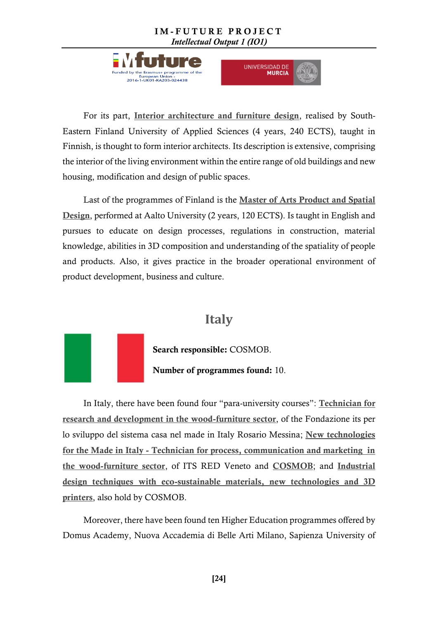



For its part, [Interior architecture and furniture design](https://studyinfo.fi/app/#!/korkeakoulu/1.2.246.562.17.23821976711), realised by South-Eastern Finland University of Applied Sciences (4 years, 240 ECTS), taught in Finnish, is thought to form interior architects. Its description is extensive, comprising the interior of the living environment within the entire range of old buildings and new housing, modification and design of public spaces.

Last of the programmes of Finland is the Master of Arts [Product and Spatial](http://studyguides.aalto.fi/arts/2016/fi/taiteiden-ja-suunnittelun-korkeakoulun-maisteriohjelmat/product-and-spatial-design.html)  [Design](http://studyguides.aalto.fi/arts/2016/fi/taiteiden-ja-suunnittelun-korkeakoulun-maisteriohjelmat/product-and-spatial-design.html), performed at Aalto University (2 years, 120 ECTS). Is taught in English and pursues to educate on design processes, regulations in construction, material knowledge, abilities in 3D composition and understanding of the spatiality of people and products. Also, it gives practice in the broader operational environment of product development, business and culture.

### **Italy**

<span id="page-23-0"></span>

Search responsible: COSMOB. Number of programmes found: 10.

In Italy, there have been found four "para-university courses": [Technician for](http://www.poloformativo-legnoarredo.it/ç)  [research and development in the wood-furniture sector](http://www.poloformativo-legnoarredo.it/ç), of the Fondazione its per lo sviluppo del sistema casa nel made in Italy Rosario Messina; [New technologies](http://www.itsred.it/vicenza.html)  for the Made in Italy - [Technician for process, communication and marketing in](http://www.itsred.it/vicenza.html)  [the wood-furniture sector](http://www.itsred.it/vicenza.html), of ITS RED Veneto and [COSMOB](http://www.cosmob.it/design/941-its-del-legno-arredo.html); and [Industrial](http://www.cosmob.it/design/955-nuove-risorse-per-le-imprese-del-legno-arredo.html)  [design techniques with eco-sustainable materials, new technologies and 3D](http://www.cosmob.it/design/955-nuove-risorse-per-le-imprese-del-legno-arredo.html)  [printers](http://www.cosmob.it/design/955-nuove-risorse-per-le-imprese-del-legno-arredo.html), also hold by COSMOB.

Moreover, there have been found ten Higher Education programmes offered by Domus Academy, Nuova Accademia di Belle Arti Milano, Sapienza University of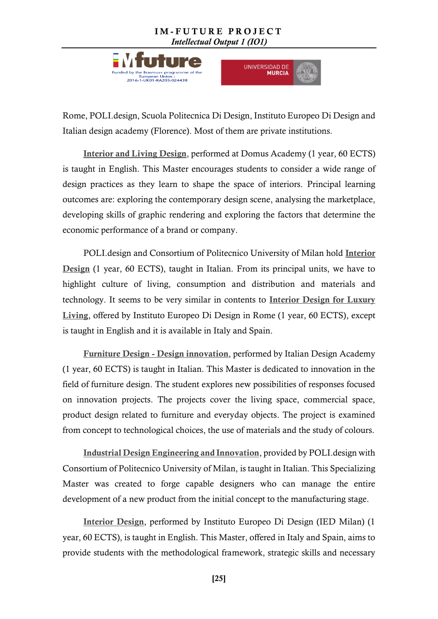



Rome, POLI.design, Scuola Politecnica Di Design, Instituto Europeo Di Design and Italian design academy (Florence). Most of them are private institutions.

[Interior and Living Design](http://www.landing.domusacademy.com/sp/master-programs/interior-and-living-design/), performed at Domus Academy (1 year, 60 ECTS) is taught in English. This Master encourages students to consider a wide range of design practices as they learn to shape the space of interiors. Principal learning outcomes are: exploring the contemporary design scene, analysing the marketplace, developing skills of graphic rendering and exploring the factors that determine the economic performance of a brand or company.

POLI.design and Consortium of Politecnico University of Milan hold [Interior](http://www.polidesign.net/it/interior)  [Design](http://www.polidesign.net/it/interior) (1 year, 60 ECTS), taught in Italian. From its principal units, we have to highlight culture of living, consumption and distribution and materials and technology. It seems to be very similar in contents to [Interior Design for Luxury](http://www.ied.it/roma/scuola-design/corsi-master/interior-design-for-luxury-living/DPB2476E#c0gZOLKlmkdL61rY.97)  [Living](http://www.ied.it/roma/scuola-design/corsi-master/interior-design-for-luxury-living/DPB2476E#c0gZOLKlmkdL61rY.97), offered by Instituto Europeo Di Design in Rome (1 year, 60 ECTS), except is taught in English and it is available in Italy and Spain.

Furniture Design - [Design innovation](http://www.accademiaitaliana.com/master-design-prodotto-arredo/id_corso/7), performed by Italian Design Academy (1 year, 60 ECTS) is taught in Italian. This Master is dedicated to innovation in the field of furniture design. The student explores new possibilities of responses focused on innovation projects. The projects cover the living space, commercial space, product design related to furniture and everyday objects. The project is examined from concept to technological choices, the use of materials and the study of colours.

[Industrial Design Engineering and Innovation](http://www.polidesign.net/it/industrialdesign), provided by POLI.design with Consortium of Politecnico University of Milan, is taught in Italian. This Specializing Master was created to forge capable designers who can manage the entire development of a new product from the initial concept to the manufacturing stage.

[Interior Design](http://www.ied.it/milano/scuola-design/corsi-master/interior-design/DRA005I), performed by Instituto Europeo Di Design (IED Milan) (1 year, 60 ECTS), is taught in English. This Master, offered in Italy and Spain, aims to provide students with the methodological framework, strategic skills and necessary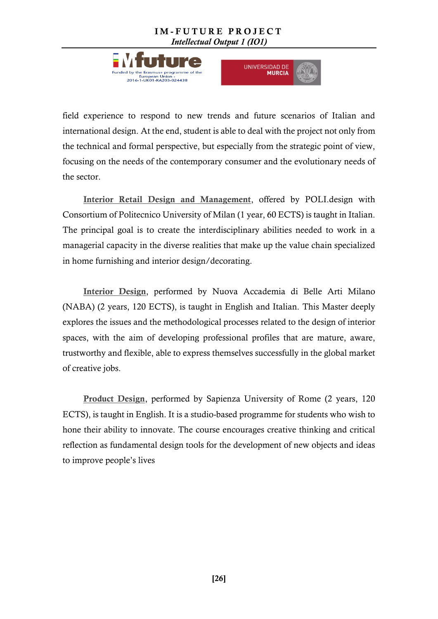



field experience to respond to new trends and future scenarios of Italian and international design. At the end, student is able to deal with the project not only from the technical and formal perspective, but especially from the strategic point of view, focusing on the needs of the contemporary consumer and the evolutionary needs of the sector.

[Interior Retail Design and Management](http://www.polidesign.net/it/retaildesign), offered by POLI.design with Consortium of Politecnico University of Milan (1 year, 60 ECTS) is taught in Italian. The principal goal is to create the interdisciplinary abilities needed to work in a managerial capacity in the diverse realities that make up the value chain specialized in home furnishing and interior design/decorating.

[Interior Design](http://landing.naba.it/welcome/study-portal/sp-ma-in-interior-design/?lang=en), performed by Nuova Accademia di Belle Arti Milano (NABA) (2 years, 120 ECTS), is taught in English and Italian. This Master deeply explores the issues and the methodological processes related to the design of interior spaces, with the aim of developing professional profiles that are mature, aware, trustworthy and flexible, able to express themselves successfully in the global market of creative jobs.

[Product Design](https://web.uniroma1.it/msproductdesign/), performed by Sapienza University of Rome (2 years, 120 ECTS), is taught in English. It is a studio-based programme for students who wish to hone their ability to innovate. The course encourages creative thinking and critical reflection as fundamental design tools for the development of new objects and ideas to improve people's lives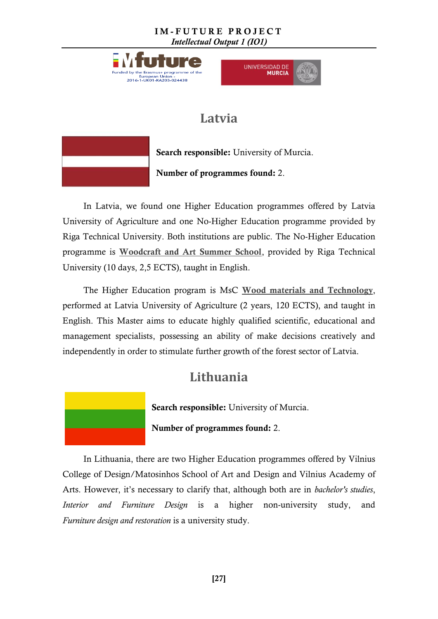

University (10 days, 2,5 ECTS), taught in English.



### **Latvia**

<span id="page-26-0"></span>

Search responsible: University of Murcia. Number of programmes found: 2.

In Latvia, we found one Higher Education programmes offered by Latvia University of Agriculture and one No-Higher Education programme provided by Riga Technical University. Both institutions are public. The No-Higher Education programme is [Woodcraft and Art Summer School](http://www.rtu.lv/en/internationalization/international-events/summer-schools/summer-school-woodcraft-and-art-summer-school), provided by Riga Technical

<span id="page-26-1"></span>The Higher Education program is MsC [Wood materials](http://www.llu.lv/en/wood_materials_and_technology) and Technology, performed at Latvia University of Agriculture (2 years, 120 ECTS), and taught in English. This Master aims to educate highly qualified scientific, educational and management specialists, possessing an ability of make decisions creatively and independently in order to stimulate further growth of the forest sector of Latvia.

## **Lithuania**



Number of programmes found: 2.

In Lithuania, there are two Higher Education programmes offered by Vilnius College of Design/Matosinhos School of Art and Design and Vilnius Academy of Arts. However, it's necessary to clarify that, although both are in *bachelor's studies*, *Interior and Furniture Design* is a higher non-university study, and *Furniture design and restoration* is a university study.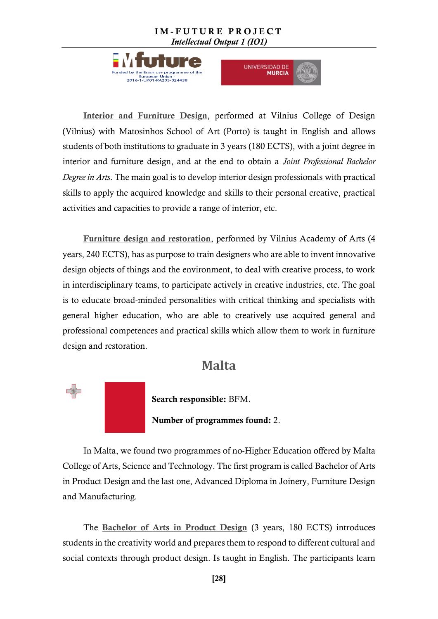



[Interior and Furniture Design](http://www.studyinlithuania.lt/en/study_programs/interiorandfurnituredesignjointdegreestudyprogramme), performed at Vilnius College of Design (Vilnius) with Matosinhos School of Art (Porto) is taught in English and allows students of both institutions to graduate in 3 years (180 ECTS), with a joint degree in interior and furniture design, and at the end to obtain a *Joint Professional Bachelor Degree in Arts*. The main goal is to develop interior design professionals with practical skills to apply the acquired knowledge and skills to their personal creative, practical activities and capacities to provide a range of interior, etc.

[Furniture design and restoration](http://www.studyinlithuania.lt/en/study_programs/furnituredesignandrestoration), performed by Vilnius Academy of Arts (4 years, 240 ECTS), has as purpose to train designers who are able to invent innovative design objects of things and the environment, to deal with creative process, to work in interdisciplinary teams, to participate actively in creative industries, etc. The goal is to educate broad-minded personalities with critical thinking and specialists with general higher education, who are able to creatively use acquired general and professional competences and practical skills which allow them to work in furniture design and restoration.

### **Malta**

<span id="page-27-0"></span>

Search responsible: BFM.

Number of programmes found: 2.

In Malta, we found two programmes of no-Higher Education offered by Malta College of Arts, Science and Technology. The first program is called Bachelor of Arts in Product Design and the last one, Advanced Diploma in Joinery, Furniture Design and Manufacturing.

The [Bachelor of Arts in Product Design](https://www.bachelorstudies.com/Bachelor-of-Arts-in-Product-Design/Malta/MCAST/) (3 years, 180 ECTS) introduces students in the creativity world and prepares them to respond to different cultural and social contexts through product design. Is taught in English. The participants learn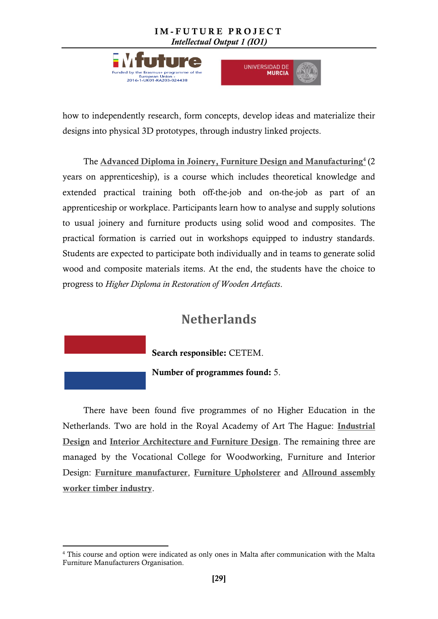



how to independently research, form concepts, develop ideas and materialize their designs into physical 3D prototypes, through industry linked projects.

The **[Advanced Diploma in Joinery, Furniture Design and Manufacturing](http://www.mcast.edu.mt/course/70)**<sup>4</sup> (2 years on apprenticeship), is a course which includes theoretical knowledge and extended practical training both off-the-job and on-the-job as part of an apprenticeship or workplace. Participants learn how to analyse and supply solutions to usual joinery and furniture products using solid wood and composites. The practical formation is carried out in workshops equipped to industry standards. Students are expected to participate both individually and in teams to generate solid wood and composite materials items. At the end, the students have the choice to progress to *Higher Diploma in Restoration of Wooden Artefacts*.

### **Netherlands**

Search responsible: CETEM.

Number of programmes found: 5.

<span id="page-28-0"></span>There have been found five programmes of no Higher Education in the Netherlands. Two are hold in the Royal Academy of Art The Hague: [Industrial](http://www.kabk.nl/pageEN.php?id=0044)  [Design](http://www.kabk.nl/pageEN.php?id=0044) and [Interior Architecture and Furniture Design](http://www.kabk.nl/pageEN.php?id=0135). The remaining three are managed by the Vocational College for Woodworking, Furniture and Interior Design: [Furniture manufacturer](http://www.hmcollege.nl/hmc-mbo-vakschool/opleidingen/meubel-hout/meubelstoffeerder.aspx), [Furniture Upholsterer](http://www.hmcollege.nl/HMCmbovakschool/Opleidingen/Meubel/Allroundmeubelstoffeerder/tabid/1240/Default.aspx) and [Allround assembly](http://www.hmcollege.nl/opleidingen/opleidingenoverzicht/meubel-hout/allround-montagemedewerker-timmerindustrie.aspx)  [worker timber industry](http://www.hmcollege.nl/opleidingen/opleidingenoverzicht/meubel-hout/allround-montagemedewerker-timmerindustrie.aspx).

**<sup>.</sup>** <sup>4</sup> This course and option were indicated as only ones in Malta after communication with the Malta Furniture Manufacturers Organisation.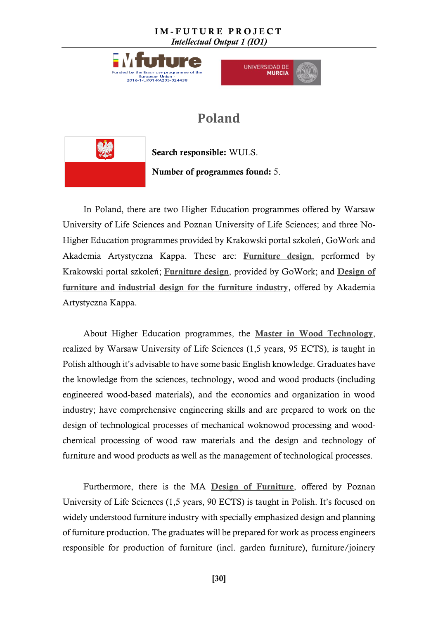



## **Poland**

<span id="page-29-0"></span>

Search responsible: WULS.

Number of programmes found: 5.

In Poland, there are two Higher Education programmes offered by Warsaw University of Life Sciences and Poznan University of Life Sciences; and three No-Higher Education programmes provided by Krakowski portal szkoleń, GoWork and Akademia Artystyczna Kappa. These are: [Furniture design](http://szkolenia.krakow.pl/projektowanie-mebli-kurs/), performed by Krakowski portal szkoleń; [Furniture design](http://www.gowork.pl/kursy-i-szkolenia/kursy-architektura/kurs-projektowania-mebli-80h-481), provided by GoWork; and [Design of](http://akademiakappa.pl/kurs-projektowania-mebli-i-wzornictwa-przemyslowego-z-zakresu-meblarstwa/)  [furniture and industrial design for the furniture industry](http://akademiakappa.pl/kurs-projektowania-mebli-i-wzornictwa-przemyslowego-z-zakresu-meblarstwa/), offered by Akademia Artystyczna Kappa.

About Higher Education programmes, the [Master in Wood Technology](http://wtd.sggw.pl/Content/programy-studiow-i-sylabusy), realized by Warsaw University of Life Sciences (1,5 years, 95 ECTS), is taught in Polish although it's advisable to have some basic English knowledge. Graduates have the knowledge from the sciences, technology, wood and wood products (including engineered wood-based materials), and the economics and organization in wood industry; have comprehensive engineering skills and are prepared to work on the design of technological processes of mechanical woknowod processing and woodchemical processing of wood raw materials and the design and technology of furniture and wood products as well as the management of technological processes.

Furthermore, there is the MA [Design of Furniture](http://wtd.up.poznan.pl/en), offered by Poznan University of Life Sciences (1,5 years, 90 ECTS) is taught in Polish. It's focused on widely understood furniture industry with specially emphasized design and planning of furniture production. The graduates will be prepared for work as process engineers responsible for production of furniture (incl. garden furniture), furniture/joinery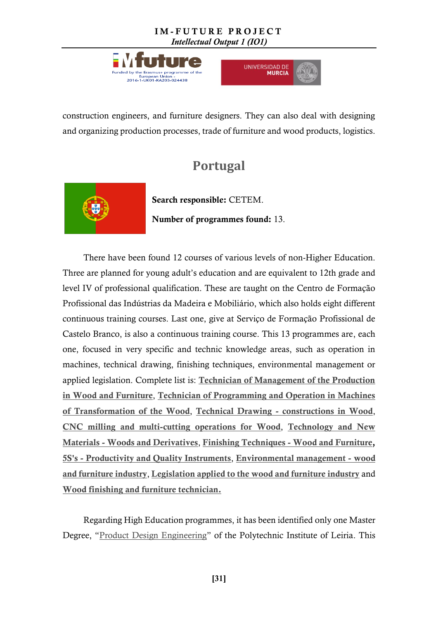



construction engineers, and furniture designers. They can also deal with designing and organizing production processes, trade of furniture and wood products, logistics.

### **Portugal**

<span id="page-30-0"></span>

Search responsible: CETEM. Number of programmes found: 13.

There have been found 12 courses of various levels of non-Higher Education. Three are planned for young adult's education and are equivalent to 12th grade and level IV of professional qualification. These are taught on the Centro de Formação Profissional das Indústrias da Madeira e Mobiliário, which also holds eight different continuous training courses. Last one, give at Serviço de Formação Profissional de Castelo Branco, is also a continuous training course. This 13 programmes are, each one, focused in very specific and technic knowledge areas, such as operation in machines, technical drawing, finishing techniques, environmental management or applied legislation. Complete list is: Technician of Management of the Production [in Wood and Furniture](http://cfpimm.pt/fi_03.asp?ID=0), [Technician of Programming and Operation in Machines](http://cfpimm.pt/fi_03.asp?ID=1)  [of Transformation of the Wood](http://cfpimm.pt/fi_03.asp?ID=1), Technical Drawing - [constructions in Wood](http://www.catalogo.anqep.gov.pt/Ufcd/Detalhe/1984), [CNC milling and multi-cutting operations for Wood](http://www.cfpimm.info/ficheiros/fcCFPIMM.pdf), [Technology and New](http://www.cfpimm.info/ficheiros/fcCFPIMM.pdf)  Materials - [Woods and Derivatives](http://www.cfpimm.info/ficheiros/fcCFPIMM.pdf), [Finishing Techniques -](http://www.catalogo.anqep.gov.pt/Ufcd/Detalhe/2021) Wood and Furniture, 5S's - [Productivity and Quality Instruments](http://www.cfpimm.info/ficheiros/5ss_instrumentosprodutividade.pdf), [Environmental management -](http://www.cfpimm.info/ficheiros/fcCFPIMM.pdf) wood [and furniture industry](http://www.cfpimm.info/ficheiros/fcCFPIMM.pdf), [Legislation applied to the wood and furniture industry](http://www.cfpimm.info/ficheiros/fcCFPIMM.pdf) and [Wood finishing and furniture technician.](https://www.iefp.pt/ofertas-formacao?item=166938)

Regarding High Education programmes, it has been identified only one Master Degree, "[Product Design Engineering](https://www.ipleiria.pt/cursos/course/master-in-product-design-engineering/)" of the Polytechnic Institute of Leiria. This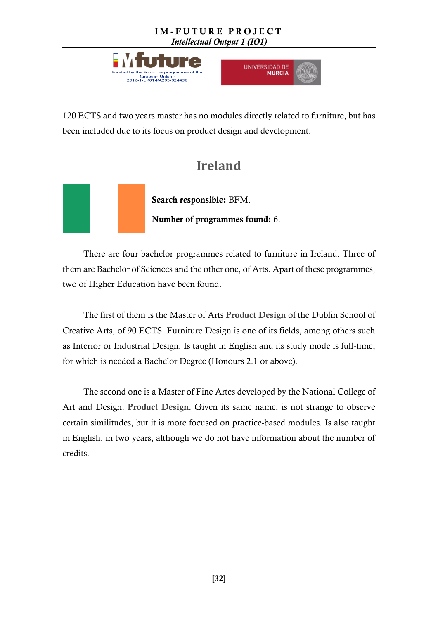



120 ECTS and two years master has no modules directly related to furniture, but has been included due to its focus on product design and development.

## **Ireland**

<span id="page-31-0"></span>

There are four bachelor programmes related to furniture in Ireland. Three of them are Bachelor of Sciences and the other one, of Arts. Apart of these programmes, two of Higher Education have been found.

The first of them is the Master of Arts [Product Design](http://www.dit.ie/creativearts/findacourse/postgraduatecourses/coursename,141093) of the Dublin School of Creative Arts, of 90 ECTS. Furniture Design is one of its fields, among others such as Interior or Industrial Design. Is taught in English and its study mode is full-time, for which is needed a Bachelor Degree (Honours 2.1 or above).

The second one is a Master of Fine Artes developed by the National College of Art and Design: [Product Design](http://www.ncad.ie/postgraduate/school-of-design/mfa-in-design/). Given its same name, is not strange to observe certain similitudes, but it is more focused on practice-based modules. Is also taught in English, in two years, although we do not have information about the number of credits.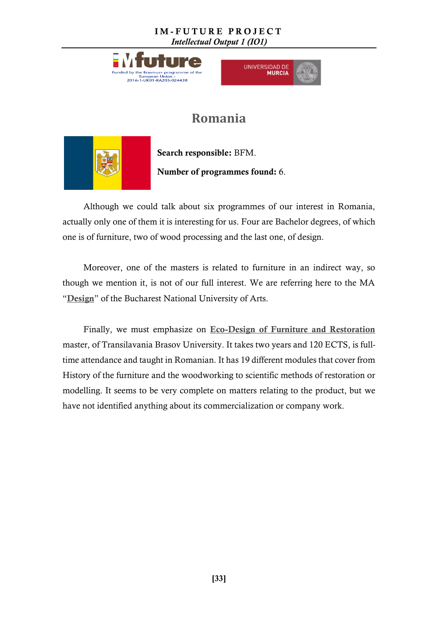



## **Romania**

<span id="page-32-0"></span>

Search responsible: BFM. Number of programmes found: 6.

Although we could talk about six programmes of our interest in Romania, actually only one of them it is interesting for us. Four are Bachelor degrees, of which one is of furniture, two of wood processing and the last one, of design.

Moreover, one of the masters is related to furniture in an indirect way, so though we mention it, is not of our full interest. We are referring here to the MA "[Design](http://www.unarte.org/national-university-of-arts-bucharest-departmentscurriculum.)" of the Bucharest National University of Arts.

Finally, we must emphasize on [Eco-Design of Furniture and Restoration](http://www.unitbv.ro/Portals/0/Programe%20de%20studii/Master/IL_Master_EDMR_RO.pdf) master, of Transilavania Brasov University. It takes two years and 120 ECTS, is fulltime attendance and taught in Romanian. It has 19 different modules that cover from History of the furniture and the woodworking to scientific methods of restoration or modelling. It seems to be very complete on matters relating to the product, but we have not identified anything about its commercialization or company work.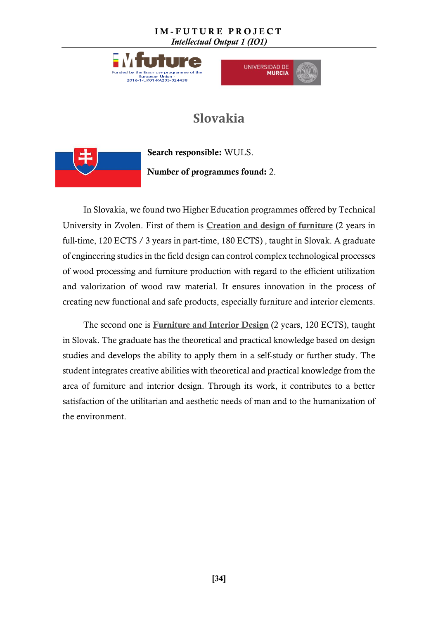



## **Slovakia**

<span id="page-33-0"></span>

Search responsible: WULS. Number of programmes found: 2.

In Slovakia, we found two Higher Education programmes offered by Technical University in Zvolen. First of them is [Creation and design of furniture](http://is.tuzvo.sk/katalog/?lang=en) (2 years in full-time, 120 ECTS / 3 years in part-time, 180 ECTS) , taught in Slovak. A graduate of engineering studies in the field design can control complex technological processes of wood processing and furniture production with regard to the efficient utilization and valorization of wood raw material. It ensures innovation in the process of creating new functional and safe products, especially furniture and interior elements.

The second one is **[Furniture and Interior Design](http://is.tuzvo.sk/katalog/?lang=en)** (2 years, 120 ECTS), taught in Slovak. The graduate has the theoretical and practical knowledge based on design studies and develops the ability to apply them in a self-study or further study. The student integrates creative abilities with theoretical and practical knowledge from the area of furniture and interior design. Through its work, it contributes to a better satisfaction of the utilitarian and aesthetic needs of man and to the humanization of the environment.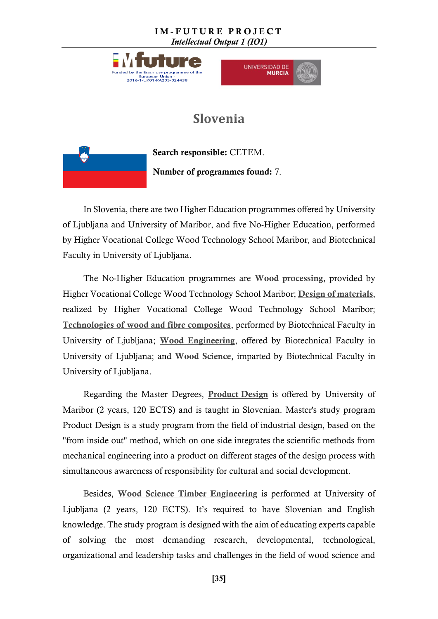



### **Slovenia**

<span id="page-34-0"></span>

Search responsible: CETEM. Number of programmes found: 7.

In Slovenia, there are two Higher Education programmes offered by University of Ljubljana and University of Maribor, and five No-Higher Education, performed by Higher Vocational College Wood Technology School Maribor, and Biotechnical Faculty in University of Ljubljana.

The No-Higher Education programmes are [Wood processing](http://www.lesarska-sola-maribor.net/vss/en/programme-wood-processing), provided by Higher Vocational College Wood Technology School Maribor; [Design of materials](http://www.lesarska-sola-maribor.net/vss/en/programme-wood-processing-4), realized by Higher Vocational College Wood Technology School Maribor; [Technologies of wood and fibre composites](http://www.bf.uni-lj.si/en/deans-office/study-programmes/professional-study-programmes/technologies-of-wood-and-fibre-composites/), performed by Biotechnical Faculty in University of Ljubljana; [Wood Engineering](http://www.bf.uni-lj.si/en/deans-office/study-programmes/professional-study-programmes/wood-engineering/), offered by Biotechnical Faculty in University of Ljubljana; and [Wood Science](http://www.bf.uni-lj.si/en/deans-office/study-programmes/academic-study-programmes/wood-science/), imparted by Biotechnical Faculty in University of Ljubljana.

Regarding the Master Degrees, [Product](http://www.fs.um.si/en/study/studijski-programi/2-stopnja/) Design is offered by University of Maribor (2 years, 120 ECTS) and is taught in Slovenian. Master's study program Product Design is a study program from the field of industrial design, based on the "from inside out" method, which on one side integrates the scientific methods from mechanical engineering into a product on different stages of the design process with simultaneous awareness of responsibility for cultural and social development.

Besides, [Wood Science Timber Engineering](http://www.bf.uni-lj.si/en/deans-office/study-programmes/master-study-programs-second-cycle/wood-science/) is performed at University of Ljubljana (2 years, 120 ECTS). It's required to have Slovenian and English knowledge. The study program is designed with the aim of educating experts capable of solving the most demanding research, developmental, technological, organizational and leadership tasks and challenges in the field of wood science and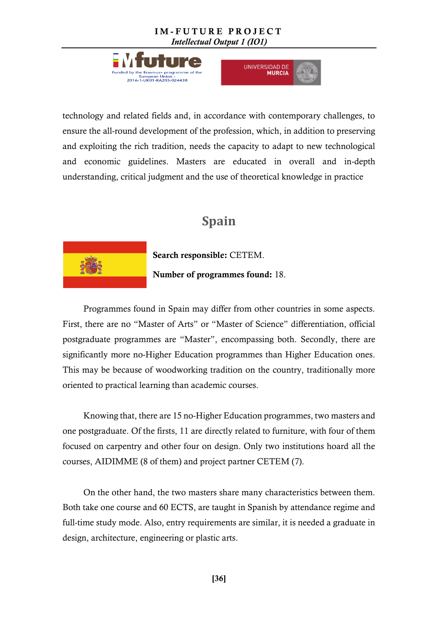



technology and related fields and, in accordance with contemporary challenges, to ensure the all-round development of the profession, which, in addition to preserving and exploiting the rich tradition, needs the capacity to adapt to new technological and economic guidelines. Masters are educated in overall and in-depth understanding, critical judgment and the use of theoretical knowledge in practice

## **Spain**

<span id="page-35-0"></span>

Search responsible: CETEM.

#### Number of programmes found: 18.

Programmes found in Spain may differ from other countries in some aspects. First, there are no "Master of Arts" or "Master of Science" differentiation, official postgraduate programmes are "Master", encompassing both. Secondly, there are significantly more no-Higher Education programmes than Higher Education ones. This may be because of woodworking tradition on the country, traditionally more oriented to practical learning than academic courses.

Knowing that, there are 15 no-Higher Education programmes, two masters and one postgraduate. Of the firsts, 11 are directly related to furniture, with four of them focused on carpentry and other four on design. Only two institutions hoard all the courses, AIDIMME (8 of them) and project partner CETEM (7).

On the other hand, the two masters share many characteristics between them. Both take one course and 60 ECTS, are taught in Spanish by attendance regime and full-time study mode. Also, entry requirements are similar, it is needed a graduate in design, architecture, engineering or plastic arts.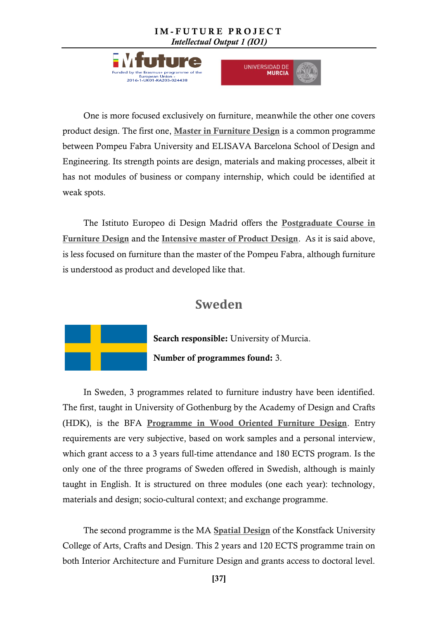



One is more focused exclusively on furniture, meanwhile the other one covers product design. The first one, [Master in Furniture Design](http://www.elisava.net/en/studies/master-furniture-design) is a common programme between Pompeu Fabra University and ELISAVA Barcelona School of Design and Engineering. Its strength points are design, materials and making processes, albeit it has not modules of business or company internship, which could be identified at weak spots.

The Istituto Europeo di Design Madrid offers the [Postgraduate Course in](http://master.iedmadrid.com/cursos/postgrado/curso-de-postgrado-de-diseno-de-mobiliario-dce1460s/)  [Furniture Design](http://master.iedmadrid.com/cursos/postgrado/curso-de-postgrado-de-diseno-de-mobiliario-dce1460s/) and the [Intensive master of Product Design](http://master.iedmadrid.com/cursos/master-intensivo/master-intensivo-de-diseno-de-producto-dme2779s/). As it is said above, is less focused on furniture than the master of the Pompeu Fabra, although furniture is understood as product and developed like that.

### **Sweden**

<span id="page-36-0"></span>

In Sweden, 3 programmes related to furniture industry have been identified. The first, taught in University of Gothenburg by the Academy of Design and Crafts (HDK), is the BFA [Programme in Wood Oriented Furniture Design](http://utbildning.gu.se/education/courses-and-programmes/Program_detail?programId=K1MDT). Entry requirements are very subjective, based on work samples and a personal interview, which grant access to a 3 years full-time attendance and 180 ECTS program. Is the only one of the three programs of Sweden offered in Swedish, although is mainly taught in English. It is structured on three modules (one each year): technology, materials and design; socio-cultural context; and exchange programme.

The second programme is the MA [Spatial Design](file:///C:/Users/ozes/Dropbox%20(Personal)/IM-FUTURE/IO1/01-A2_european_union_programmes/Konstfack%20University%20College%20of%20Arts,%20Crafts%20and%20Design) of the Konstfack University College of Arts, Crafts and Design. This 2 years and 120 ECTS programme train on both Interior Architecture and Furniture Design and grants access to doctoral level.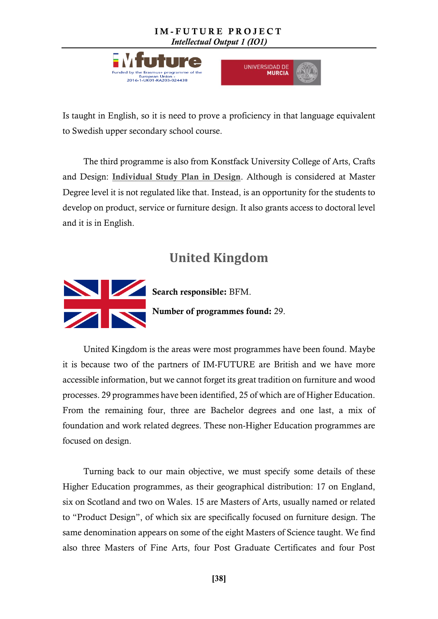



Is taught in English, so it is need to prove a proficiency in that language equivalent to Swedish upper secondary school course.

The third programme is also from Konstfack University College of Arts, Crafts and Design: [Individual Study Plan in Design](https://www.konstfack.se/en/Education/Masters-Degree-Programmes/Design/Individual-Study-Plan/). Although is considered at Master Degree level it is not regulated like that. Instead, is an opportunity for the students to develop on product, service or furniture design. It also grants access to doctoral level and it is in English.

## **United Kingdom**

<span id="page-37-0"></span>

Search responsible: BFM. Number of programmes found: 29.

United Kingdom is the areas were most programmes have been found. Maybe it is because two of the partners of IM-FUTURE are British and we have more accessible information, but we cannot forget its great tradition on furniture and wood processes. 29 programmes have been identified, 25 of which are of Higher Education. From the remaining four, three are Bachelor degrees and one last, a mix of foundation and work related degrees. These non-Higher Education programmes are focused on design.

Turning back to our main objective, we must specify some details of these Higher Education programmes, as their geographical distribution: 17 on England, six on Scotland and two on Wales. 15 are Masters of Arts, usually named or related to "Product Design", of which six are specifically focused on furniture design. The same denomination appears on some of the eight Masters of Science taught. We find also three Masters of Fine Arts, four Post Graduate Certificates and four Post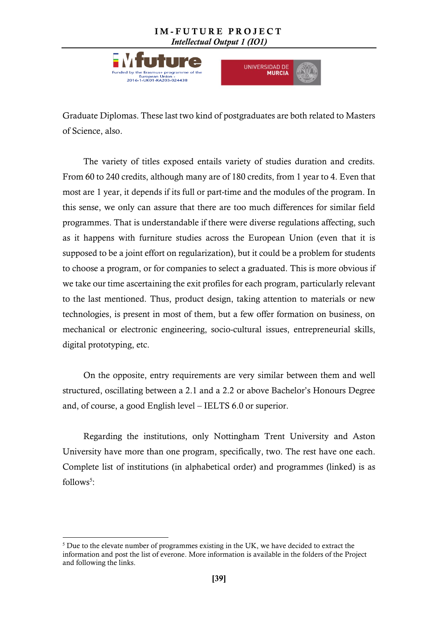



Graduate Diplomas. These last two kind of postgraduates are both related to Masters of Science, also.

The variety of titles exposed entails variety of studies duration and credits. From 60 to 240 credits, although many are of 180 credits, from 1 year to 4. Even that most are 1 year, it depends if its full or part-time and the modules of the program. In this sense, we only can assure that there are too much differences for similar field programmes. That is understandable if there were diverse regulations affecting, such as it happens with furniture studies across the European Union (even that it is supposed to be a joint effort on regularization), but it could be a problem for students to choose a program, or for companies to select a graduated. This is more obvious if we take our time ascertaining the exit profiles for each program, particularly relevant to the last mentioned. Thus, product design, taking attention to materials or new technologies, is present in most of them, but a few offer formation on business, on mechanical or electronic engineering, socio-cultural issues, entrepreneurial skills, digital prototyping, etc.

On the opposite, entry requirements are very similar between them and well structured, oscillating between a 2.1 and a 2.2 or above Bachelor's Honours Degree and, of course, a good English level – IELTS 6.0 or superior.

Regarding the institutions, only Nottingham Trent University and Aston University have more than one program, specifically, two. The rest have one each. Complete list of institutions (in alphabetical order) and programmes (linked) is as follows<sup>5</sup>:

**.** 

 $5$  Due to the elevate number of programmes existing in the UK, we have decided to extract the information and post the list of everone. More information is available in the folders of the Project and following the links.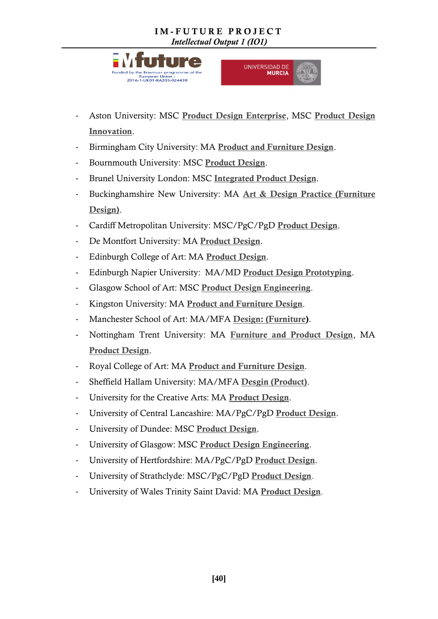



- Aston University: MSC [Product Design Enterprise](http://www.aston.ac.uk/study/postgraduate/taught-programmes/eas/msc-), MSC Product Design [Innovation](http://www.aston.ac.uk/study/postgraduate/taught-programmes/eas/msc-).
- Birmingham City University: MA [Product and Furniture Design](http://www.bcu.ac.uk/courses/product-and-furniture-design-ma-2017-18).
- Bournmouth University: MSC [Product Design](https://www1.bournemouth.ac.uk/study/courses/msc-product-design).
- Brunel University London: MSC [Integrated Product Design](http://www.brunel.ac.uk/study/postgraduate/Integrated-Product-Design-MSc).
- Buckinghamshire New University: MA [Art & Design Practice \(Furniture](http://bucks.ac.uk/courses/postgraduate/MF1ADP2-Y1A/)  [Design\)](http://bucks.ac.uk/courses/postgraduate/MF1ADP2-Y1A/).
- Cardiff Metropolitan University: MSC/PgC/PgD [Product Design](http://www.cardiffmet.ac.uk/artanddesign/courses/Pages/mscapd.aspx).
- De Montfort University: MA [Product Design](http://www.dmu.ac.uk/study/courses/postgraduate-courses/product-).
- Edinburgh College of Art: MA [Product Design](http://www.eca.ed.ac.uk/school-of-design/postgraduate/taught-).
- Edinburgh Napier University: MA/MD [Product Design Prototyping](http://www.napier.ac.uk/courses/ma--mdes-product-design-prototyping-).
- Glasgow School of Art: MSC [Product Design Engineering](http://www.gsa.ac.uk/study/graduate-degrees/product-design-engineering/).
- Kingston University: MA [Product and Furniture Design](http://www.kingston.ac.uk/postgraduate-course/product-furniture-design-ma/).
- Manchester School of Art: MA/MFA [Design: \(Furniture\)](http://www2.mmu.ac.uk/study/postgraduate/taught/2017/14679/).
- Nottingham Trent University: MA [Furniture and Product Design](https://www.ntu.ac.uk/study-and-courses/courses/find-your-), MA [Product Design](https://www.ntu.ac.uk/study-and-courses/courses/find-your-).
- Royal College of Art: MA [Product and Furniture Design](https://www.rca.ac.uk/schools/school-of-design/design-products/ma-description/).
- Sheffield Hallam University: MA/MFA [Desgin \(Product\)](https://www.shu.ac.uk/study-here/find-a-course/mamfa-design-product).
- University for the Creative Arts: MA [Product Design](http://www.uca.ac.uk/study/courses/ma-product-design/).
- University of Central Lancashire: MA/PgC/PgD [Product Design](http://www.uclan.ac.uk/courses/ma_pgcert_pgdip_product_design.php).
- University of Dundee: MSC [Product Design](https://www.dundee.ac.uk/study/pg/product-design/).
- University of Glasgow: MSC [Product Design Engineering](http://www.gla.ac.uk/postgraduate/taught/productdesignengineering/#/whythisprogramme,careerprospects).
- University of Hertfordshire: MA/PgC/PgD [Product Design](http://www.herts.ac.uk/courses/ma-product-design).
- University of Strathclyde: MSC/PgC/PgD [Product Design](http://www.strath.ac.uk/courses/postgraduatetaught/productdesign/).
- University of Wales Trinity Saint David: MA [Product Design](http://www.uwtsd.ac.uk/ma-product-design/).